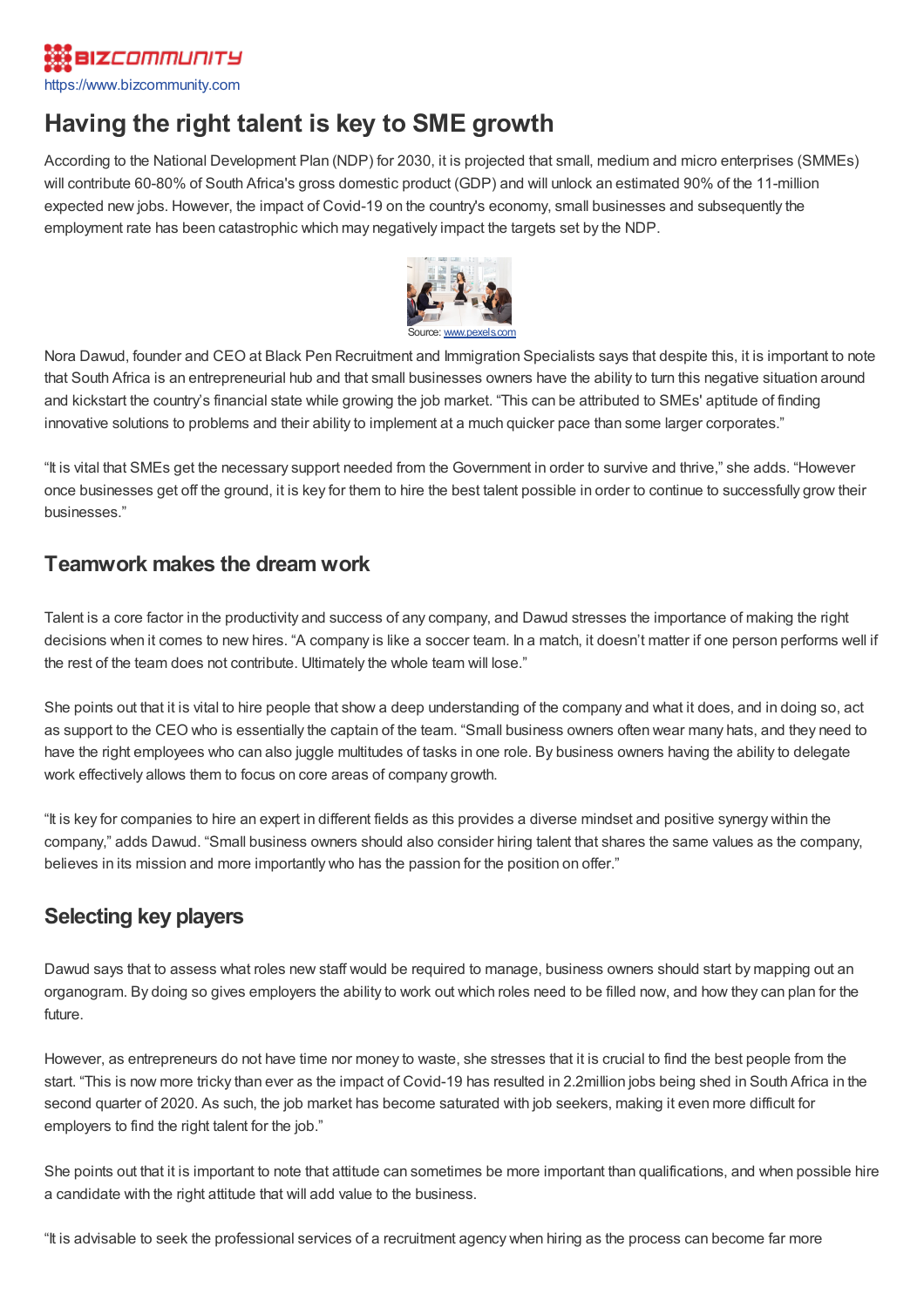# **BIZCOMMUNITY**

[https://www.bizcommunity.com](https://www.bizcommunity.com/)

# **Having the right talent is key to SME growth**

According to the National Development Plan (NDP) for 2030, it is projected that small, medium and micro enterprises (SMMEs) will contribute 60-80% of South Africa's gross domestic product (GDP) and will unlock an estimated 90% of the 11-million expected new jobs. However, the impact of Covid-19 on the country's economy, small businesses and subsequently the employment rate has been catastrophic which may negatively impact the targets set by the NDP.



Nora Dawud, founder and CEO at Black Pen Recruitment and Immigration Specialists says that despite this, it is important to note that South Africa is an entrepreneurial hub and that small businesses owners have the ability to turn this negative situation around and kickstart the country's financial state while growing the job market. "This can be attributed to SMEs' aptitude of finding innovative solutions to problems and their ability to implement at a much quicker pace than some larger corporates."

"It is vital that SMEs get the necessary support needed from the Government in order to survive and thrive," she adds. "However once businesses get off the ground, it is key for them to hire the best talent possible in order to continue to successfully grow their businesses."

#### **Teamwork makes the dream work**

Talent is a core factor in the productivity and success of any company, and Dawud stresses the importance of making the right decisions when it comes to new hires. "A company is like a soccer team. In a match, it doesn't matter if one person performs well if the rest of the team does not contribute. Ultimately the whole team will lose."

She points out that it is vital to hire people that show a deep understanding of the company and what it does, and in doing so, act as support to the CEO who is essentially the captain of the team. "Small business owners often wear many hats, and they need to have the right employees who can also juggle multitudes of tasks in one role. By business owners having the ability to delegate work effectively allows them to focus on core areas of company growth.

"It is key for companies to hire an expert in different fields as this provides a diverse mindset and positive synergy within the company," adds Dawud. "Small business owners should also consider hiring talent that shares the same values as the company, believes in its mission and more importantly who has the passion for the position on offer."

# **Selecting key players**

Dawud says that to assess what roles new staff would be required to manage, business owners should start by mapping out an organogram. By doing so gives employers the ability to work out which roles need to be filled now, and how they can plan for the future.

However, as entrepreneurs do not have time nor money to waste, she stresses that it is crucial to find the best people from the start. "This is now more tricky than ever as the impact of Covid-19 has resulted in 2.2million jobs being shed in South Africa in the second quarter of 2020. As such, the job market has become saturated with job seekers, making it even more difficult for employers to find the right talent for the job."

She points out that it is important to note that attitude can sometimes be more important than qualifications, and when possible hire a candidate with the right attitude that will add value to the business.

"It is advisable to seek the professional services of a recruitment agency when hiring as the process can become far more